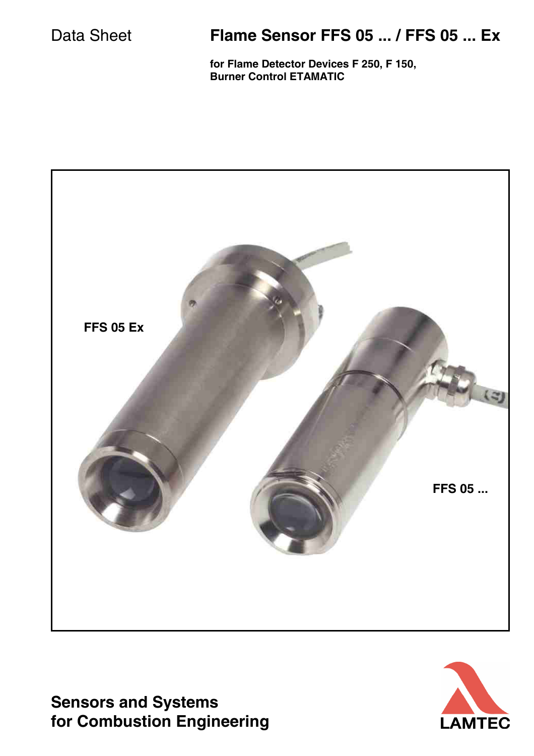## Data Sheet **Flame Sensor FFS 05 ... / FFS 05 ... Ex**

**for Flame Detector Devices F 250, F 150, Burner Control ETAMATIC**



**Sensors and Systems for Combustion Engineering**